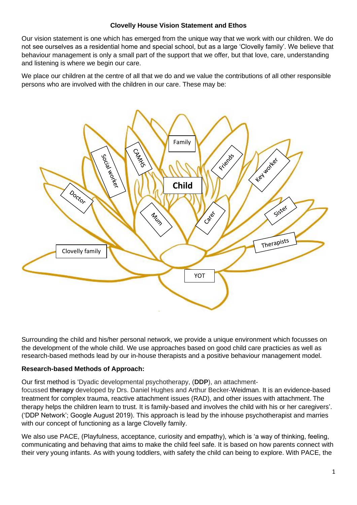## **Clovelly House Vision Statement and Ethos**

Our vision statement is one which has emerged from the unique way that we work with our children. We do not see ourselves as a residential home and special school, but as a large 'Clovelly family'. We believe that behaviour management is only a small part of the support that we offer, but that love, care, understanding and listening is where we begin our care.

We place our children at the centre of all that we do and we value the contributions of all other responsible persons who are involved with the children in our care. These may be:



Surrounding the child and his/her personal network, we provide a unique environment which focusses on the development of the whole child. We use approaches based on good child care practicies as well as research-based methods lead by our in-house therapists and a positive behaviour management model.

## **Research-based Methods of Approach:**

Our first method is 'Dyadic developmental psychotherapy, (**DDP**), an attachment-

focussed **therapy** developed by Drs. Daniel Hughes and Arthur Becker-Weidman. It is an evidence-based treatment for complex trauma, reactive attachment issues (RAD), and other issues with attachment. The therapy helps the children learn to trust. It is family-based and involves the child with his or her caregivers'. ('DDP Network'; Google August 2019). This approach is lead by the inhouse psychotherapist and marries with our concept of functioning as a large Clovelly family.

We also use PACE, (Playfulness, acceptance, curiosity and empathy), which is 'a way of thinking, feeling, communicating and behaving that aims to make the child feel safe. It is based on how parents connect with their very young infants. As with young toddlers, with safety the child can being to explore. With PACE, the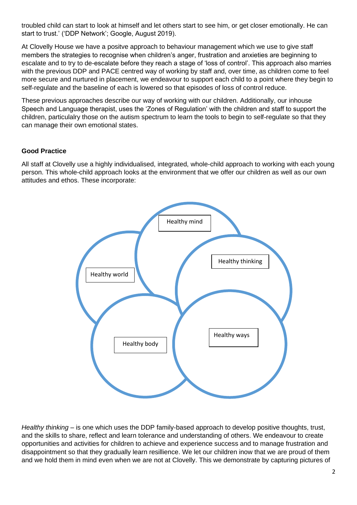troubled child can start to look at himself and let others start to see him, or get closer emotionally. He can start to trust.' ('DDP Network'; Google, August 2019).

At Clovelly House we have a positve approach to behaviour management which we use to give staff members the strategies to recognise when children's anger, frustration and anxieties are beginning to escalate and to try to de-escalate before they reach a stage of 'loss of control'. This approach also marries with the previous DDP and PACE centred way of working by staff and, over time, as children come to feel more secure and nurtured in placement, we endeavour to support each child to a point where they begin to self-regulate and the baseline of each is lowered so that episodes of loss of control reduce.

These previous approaches describe our way of working with our children. Additionally, our inhouse Speech and Language therapist, uses the 'Zones of Regulation' with the children and staff to support the children, particulalry those on the autism spectrum to learn the tools to begin to self-regulate so that they can manage their own emotional states.

## **Good Practice**

All staff at Clovelly use a highly individualised, integrated, whole-child approach to working with each young person. This whole-child approach looks at the environment that we offer our children as well as our own attitudes and ethos. These incorporate:



*Healthy thinking* – is one which uses the DDP family-based approach to develop positive thoughts, trust, and the skills to share, reflect and learn tolerance and understanding of others. We endeavour to create opportunities and activities for children to achieve and experience success and to manage frustration and disappointment so that they gradually learn resillience. We let our children inow that we are proud of them and we hold them in mind even when we are not at Clovelly. This we demonstrate by capturing pictures of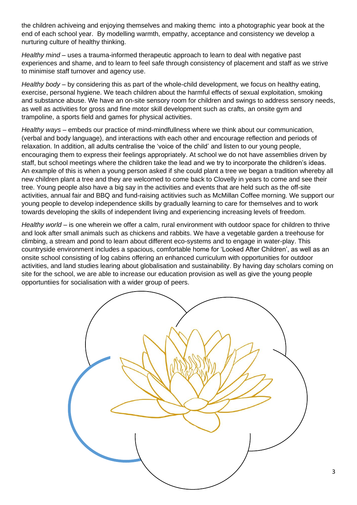the children achiveing and enjoying themselves and making themc into a photographic year book at the end of each school year. By modelling warmth, empathy, acceptance and consistency we develop a nurturing culture of healthy thinking.

*Healthy mind* – uses a trauma-informed therapeutic approach to learn to deal with negative past experiences and shame, and to learn to feel safe through consistency of placement and staff as we strive to minimise staff turnover and agency use.

*Healthy body* – by considering this as part of the whole-child development, we focus on healthy eating, exercise, personal hygiene. We teach children about the harmful effects of sexual exploitation, smoking and substance abuse. We have an on-site sensory room for children and swings to address sensory needs, as well as activities for gross and fine motor skill development such as crafts, an onsite gym and trampoline, a sports field and games for physical activities.

*Healthy ways* – embeds our practice of mind-mindfullness where we think about our communication, (verbal and body language), and interactions with each other and encourage reflection and periods of relaxation. In addition, all adults centralise the 'voice of the child' and listen to our young people, encouraging them to express their feelings appropriately. At school we do not have assemblies driven by staff, but school meetings where the children take the lead and we try to incorporate the children's ideas. An example of this is when a young person asked if she could plant a tree we began a tradition whereby all new children plant a tree and they are welcomed to come back to Clovelly in years to come and see their tree. Young people also have a big say in the activities and events that are held such as the off-site activities, annual fair and BBQ and fund-raising actitivies such as McMillan Coffee morning. We support our young people to develop independence skills by gradually learning to care for themselves and to work towards developing the skills of independent living and experiencing increasing levels of freedom.

*Healthy world* – is one wherein we offer a calm, rural environment with outdoor space for children to thrive and look after small animals such as chickens and rabbits. We have a vegetable garden a treehouse for climbing, a stream and pond to learn about different eco-systems and to engage in water-play. This countryside environment includes a spacious, comfortable home for 'Looked After Children', as well as an onsite school consisting of log cabins offering an enhanced curriculum with opportunities for outdoor activities, and land studies learing about globalisation and sustainability. By having day scholars coming on site for the school, we are able to increase our education provision as well as give the young people opportuntiies for socialisation with a wider group of peers.